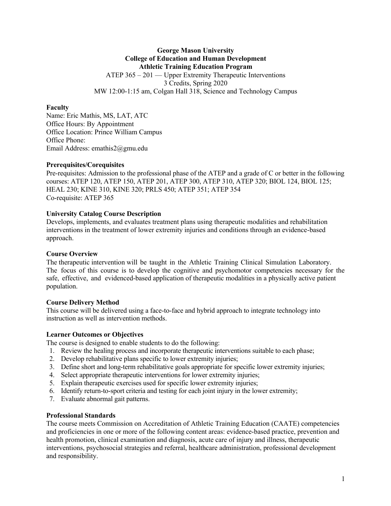# **George Mason University College of Education and Human Development Athletic Training Education Program** ATEP 365 – 201 — Upper Extremity Therapeutic Interventions 3 Credits, Spring 2020 MW 12:00-1:15 am, Colgan Hall 318, Science and Technology Campus

#### **Faculty**

Name: Eric Mathis, MS, LAT, ATC Office Hours: By Appointment Office Location: Prince William Campus Office Phone: Email Address: emathis2@gmu.edu

#### **Prerequisites/Corequisites**

Pre-requisites: Admission to the professional phase of the ATEP and a grade of C or better in the following courses: ATEP 120, ATEP 150, ATEP 201, ATEP 300, ATEP 310, ATEP 320; BIOL 124, BIOL 125; HEAL 230; KINE 310, KINE 320; PRLS 450; ATEP 351; ATEP 354 Co-requisite: ATEP 365

## **University Catalog Course Description**

Develops, implements, and evaluates treatment plans using therapeutic modalities and rehabilitation interventions in the treatment of lower extremity injuries and conditions through an evidence-based approach.

#### **Course Overview**

The therapeutic intervention will be taught in the Athletic Training Clinical Simulation Laboratory. The focus of this course is to develop the cognitive and psychomotor competencies necessary for the safe, effective, and evidenced-based application of therapeutic modalities in a physically active patient population.

## **Course Delivery Method**

This course will be delivered using a face-to-face and hybrid approach to integrate technology into instruction as well as intervention methods.

## **Learner Outcomes or Objectives**

The course is designed to enable students to do the following:

- 1. Review the healing process and incorporate therapeutic interventions suitable to each phase;
- 2. Develop rehabilitative plans specific to lower extremity injuries;
- 3. Define short and long-term rehabilitative goals appropriate for specific lower extremity injuries;
- 4. Select appropriate therapeutic interventions for lower extremity injuries;
- 5. Explain therapeutic exercises used for specific lower extremity injuries;
- 6. Identify return-to-sport criteria and testing for each joint injury in the lower extremity;
- 7. Evaluate abnormal gait patterns.

#### **Professional Standards**

The course meets Commission on Accreditation of Athletic Training Education (CAATE) competencies and proficiencies in one or more of the following content areas: evidence-based practice, prevention and health promotion, clinical examination and diagnosis, acute care of injury and illness, therapeutic interventions, psychosocial strategies and referral, healthcare administration, professional development and responsibility.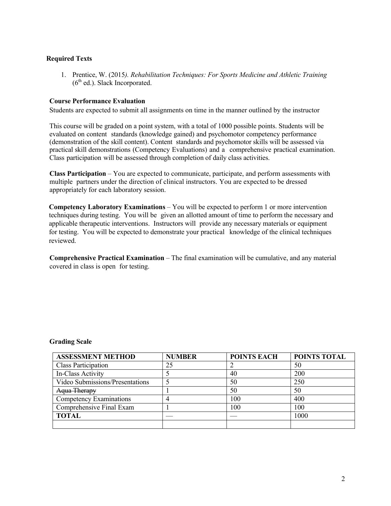# **Required Texts**

1. Prentice, W. (2015*). Rehabilitation Techniques: For Sports Medicine and Athletic Training*  $(6<sup>th</sup>$  ed.). Slack Incorporated.

#### **Course Performance Evaluation**

Students are expected to submit all assignments on time in the manner outlined by the instructor

This course will be graded on a point system, with a total of 1000 possible points. Students will be evaluated on content standards (knowledge gained) and psychomotor competency performance (demonstration of the skill content). Content standards and psychomotor skills will be assessed via practical skill demonstrations (Competency Evaluations) and a comprehensive practical examination. Class participation will be assessed through completion of daily class activities.

**Class Participation** – You are expected to communicate, participate, and perform assessments with multiple partners under the direction of clinical instructors. You are expected to be dressed appropriately for each laboratory session.

**Competency Laboratory Examinations** – You will be expected to perform 1 or more intervention techniques during testing. You will be given an allotted amount of time to perform the necessary and applicable therapeutic interventions. Instructors will provide any necessary materials or equipment for testing. You will be expected to demonstrate your practical knowledge of the clinical techniques reviewed.

**Comprehensive Practical Examination** – The final examination will be cumulative, and any material covered in class is open for testing.

#### **Grading Scale**

| <b>ASSESSMENT METHOD</b>        | <b>NUMBER</b> | <b>POINTS EACH</b> | POINTS TOTAL |
|---------------------------------|---------------|--------------------|--------------|
| Class Participation             | 25            |                    | 50           |
| In-Class Activity               |               | 40                 | 200          |
| Video Submissions/Presentations |               | 50                 | 250          |
| Aqua Therapy                    |               | 50                 | 50           |
| Competency Examinations         |               | 100                | 400          |
| Comprehensive Final Exam        |               | 100                | 100          |
| <b>TOTAL</b>                    |               |                    | 1000         |
|                                 |               |                    |              |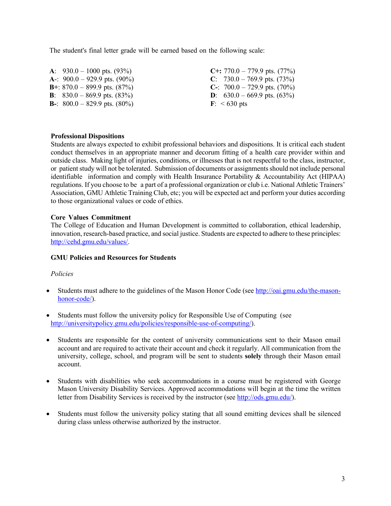The student's final letter grade will be earned based on the following scale:

| A: $930.0 - 1000$ pts. $(93\%)$                                               | C+: $770.0 - 779.9$ pts. $(77%)$                                              |
|-------------------------------------------------------------------------------|-------------------------------------------------------------------------------|
| A-: $900.0 - 929.9$ pts. $(90\%)$<br><b>B</b> +: $870.0 - 899.9$ pts. $(87%)$ | C: $730.0 - 769.9$ pts. $(73\%)$<br><b>C</b> -: $700.0 - 729.9$ pts. $(70\%)$ |
| <b>B</b> : $830.0 - 869.9$ pts. $(83\%)$                                      | <b>D</b> : $630.0 - 669.9$ pts. $(63\%)$                                      |
| <b>B</b> -: $800.0 - 829.9$ pts. $(80\%)$                                     | $\mathbf{F}$ : < 630 pts                                                      |

#### **Professional Dispositions**

Students are always expected to exhibit professional behaviors and dispositions. It is critical each student conduct themselves in an appropriate manner and decorum fitting of a health care provider within and outside class. Making light of injuries, conditions, or illnesses that is not respectful to the class, instructor, or patient study will not be tolerated. Submission of documents or assignments should not include personal identifiable information and comply with Health Insurance Portability & Accountability Act (HIPAA) regulations. If you choose to be a part of a professional organization or club i.e. National Athletic Trainers' Association, GMU Athletic Training Club, etc; you will be expected act and perform your duties according to those organizational values or code of ethics.

## **Core Values Commitment**

The College of Education and Human Development is committed to collaboration, ethical leadership, innovation, research-based practice, and social justice. Students are expected to adhere to these principles: http://cehd.gmu.edu/values/.

## **GMU Policies and Resources for Students**

## *Policies*

- Students must adhere to the guidelines of the Mason Honor Code (see http://oai.gmu.edu/the-masonhonor-code/).
- Students must follow the university policy for Responsible Use of Computing (see http://universitypolicy.gmu.edu/policies/responsible-use-of-computing/).
- Students are responsible for the content of university communications sent to their Mason email account and are required to activate their account and check it regularly. All communication from the university, college, school, and program will be sent to students **solely** through their Mason email account.
- Students with disabilities who seek accommodations in a course must be registered with George Mason University Disability Services. Approved accommodations will begin at the time the written letter from Disability Services is received by the instructor (see http://ods.gmu.edu/).
- Students must follow the university policy stating that all sound emitting devices shall be silenced during class unless otherwise authorized by the instructor.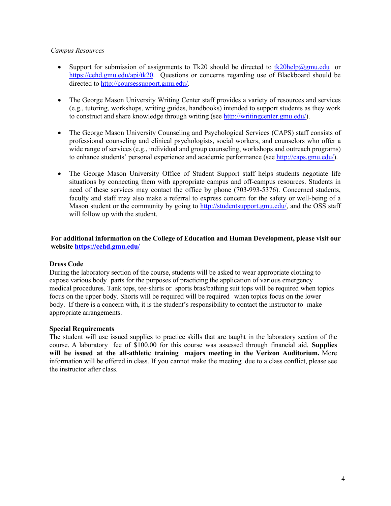## *Campus Resources*

- Support for submission of assignments to Tk20 should be directed to tk20help@gmu.edu or https://cehd.gmu.edu/api/tk20. Questions or concerns regarding use of Blackboard should be directed to http://coursessupport.gmu.edu/.
- The George Mason University Writing Center staff provides a variety of resources and services (e.g., tutoring, workshops, writing guides, handbooks) intended to support students as they work to construct and share knowledge through writing (see http://writingcenter.gmu.edu/).
- The George Mason University Counseling and Psychological Services (CAPS) staff consists of professional counseling and clinical psychologists, social workers, and counselors who offer a wide range of services (e.g., individual and group counseling, workshops and outreach programs) to enhance students' personal experience and academic performance (see http://caps.gmu.edu/).
- The George Mason University Office of Student Support staff helps students negotiate life situations by connecting them with appropriate campus and off-campus resources. Students in need of these services may contact the office by phone (703-993-5376). Concerned students, faculty and staff may also make a referral to express concern for the safety or well-being of a Mason student or the community by going to http://studentsupport.gmu.edu/, and the OSS staff will follow up with the student.

**For additional information on the College of Education and Human Development, please visit our website https://cehd.gmu.edu/**

## **Dress Code**

During the laboratory section of the course, students will be asked to wear appropriate clothing to expose various body parts for the purposes of practicing the application of various emergency medical procedures. Tank tops, tee-shirts or sports bras/bathing suit tops will be required when topics focus on the upper body. Shorts will be required will be required when topics focus on the lower body. If there is a concern with, it is the student's responsibility to contact the instructor to make appropriate arrangements.

## **Special Requirements**

The student will use issued supplies to practice skills that are taught in the laboratory section of the course. A laboratory fee of \$100.00 for this course was assessed through financial aid. **Supplies will be issued at the all-athletic training majors meeting in the Verizon Auditorium.** More information will be offered in class. If you cannot make the meeting due to a class conflict, please see the instructor after class.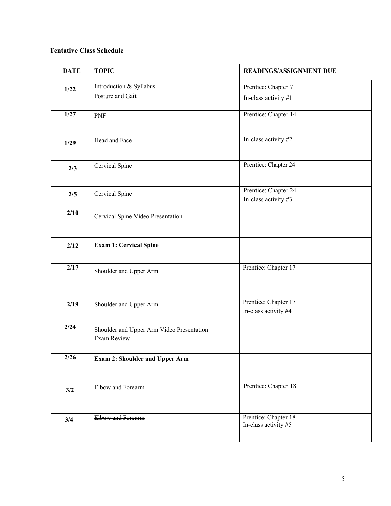# **Tentative Class Schedule**

| <b>DATE</b>       | <b>TOPIC</b>                              | READINGS/ASSIGNMENT DUE |
|-------------------|-------------------------------------------|-------------------------|
| 1/22              | Introduction & Syllabus                   | Prentice: Chapter 7     |
|                   | Posture and Gait                          | In-class activity #1    |
| $1/27$            | PNF                                       | Prentice: Chapter 14    |
|                   |                                           |                         |
| 1/29              | Head and Face                             | In-class activity #2    |
|                   |                                           | Prentice: Chapter 24    |
| 2/3               | Cervical Spine                            |                         |
|                   |                                           | Prentice: Chapter 24    |
| 2/5               | Cervical Spine                            | In-class activity #3    |
| 2/10              | Cervical Spine Video Presentation         |                         |
|                   |                                           |                         |
| 2/12              | <b>Exam 1: Cervical Spine</b>             |                         |
|                   |                                           |                         |
| $\overline{2/17}$ | Shoulder and Upper Arm                    | Prentice: Chapter 17    |
|                   |                                           |                         |
| 2/19              | Shoulder and Upper Arm                    | Prentice: Chapter 17    |
|                   |                                           | In-class activity #4    |
| 2/24              | Shoulder and Upper Arm Video Presentation |                         |
|                   | <b>Exam Review</b>                        |                         |
| $\overline{2/26}$ | <b>Exam 2: Shoulder and Upper Arm</b>     |                         |
|                   |                                           |                         |
| 3/2               | Elbow and Forearm                         | Prentice: Chapter 18    |
|                   |                                           |                         |
| 3/4               | Elbow and Forearm                         | Prentice: Chapter 18    |
|                   |                                           | In-class activity #5    |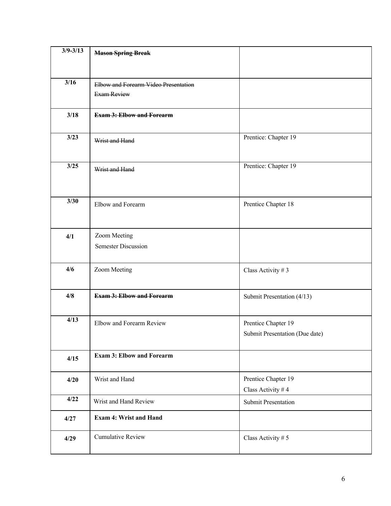| $3/9 - 3/13$ | <b>Mason Spring Break</b>            |                                |
|--------------|--------------------------------------|--------------------------------|
|              |                                      |                                |
| 3/16         | Elbow and Forearm Video Presentation |                                |
|              | <b>Exam Review</b>                   |                                |
|              |                                      |                                |
| 3/18         | <b>Exam 3: Elbow and Forearm</b>     |                                |
|              |                                      |                                |
| 3/23         | Wrist and Hand                       | Prentice: Chapter 19           |
|              |                                      |                                |
| 3/25         | Wrist and Hand                       | Prentice: Chapter 19           |
|              |                                      |                                |
|              |                                      |                                |
| 3/30         | Elbow and Forearm                    | Prentice Chapter 18            |
|              |                                      |                                |
|              |                                      |                                |
| 4/1          | Zoom Meeting                         |                                |
|              | <b>Semester Discussion</b>           |                                |
|              |                                      |                                |
| 4/6          | Zoom Meeting                         | Class Activity #3              |
|              |                                      |                                |
| 4/8          | <b>Exam 3: Elbow and Forearm</b>     | Submit Presentation (4/13)     |
|              |                                      |                                |
| 4/13         | Elbow and Forearm Review             | Prentice Chapter 19            |
|              |                                      | Submit Presentation (Due date) |
|              |                                      |                                |
| 4/15         | <b>Exam 3: Elbow and Forearm</b>     |                                |
|              |                                      |                                |
| 4/20         | Wrist and Hand                       | Prentice Chapter 19            |
| 4/22         |                                      | Class Activity #4              |
|              | Wrist and Hand Review                | <b>Submit Presentation</b>     |
| 4/27         | <b>Exam 4: Wrist and Hand</b>        |                                |
|              |                                      |                                |
| 4/29         | Cumulative Review                    | Class Activity #5              |
|              |                                      |                                |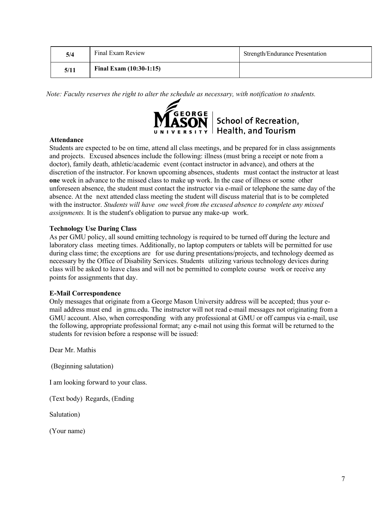| 5/4  | Final Exam Review         | <b>Strength/Endurance Presentation</b> |
|------|---------------------------|----------------------------------------|
| 5/11 | Final Exam $(10:30-1:15)$ |                                        |

*Note: Faculty reserves the right to alter the schedule as necessary, with notification to students.*



## **Attendance**

Students are expected to be on time, attend all class meetings, and be prepared for in class assignments and projects. Excused absences include the following: illness (must bring a receipt or note from a doctor), family death, athletic/academic event (contact instructor in advance), and others at the discretion of the instructor. For known upcoming absences, students must contact the instructor at least **one** week in advance to the missed class to make up work. In the case of illness or some other unforeseen absence, the student must contact the instructor via e-mail or telephone the same day of the absence. At the next attended class meeting the student will discuss material that is to be completed with the instructor. *Students will have one week from the excused absence to complete any missed assignments.* It is the student's obligation to pursue any make-up work.

# **Technology Use During Class**

As per GMU policy, all sound emitting technology is required to be turned off during the lecture and laboratory class meeting times. Additionally, no laptop computers or tablets will be permitted for use during class time; the exceptions are for use during presentations/projects, and technology deemed as necessary by the Office of Disability Services. Students utilizing various technology devices during class will be asked to leave class and will not be permitted to complete course work or receive any points for assignments that day.

## **E-Mail Correspondence**

Only messages that originate from a George Mason University address will be accepted; thus your email address must end in gmu.edu. The instructor will not read e-mail messages not originating from a GMU account. Also, when corresponding with any professional at GMU or off campus via e-mail, use the following, appropriate professional format; any e-mail not using this format will be returned to the students for revision before a response will be issued:

Dear Mr. Mathis

(Beginning salutation)

I am looking forward to your class.

(Text body) Regards, (Ending

Salutation)

(Your name)